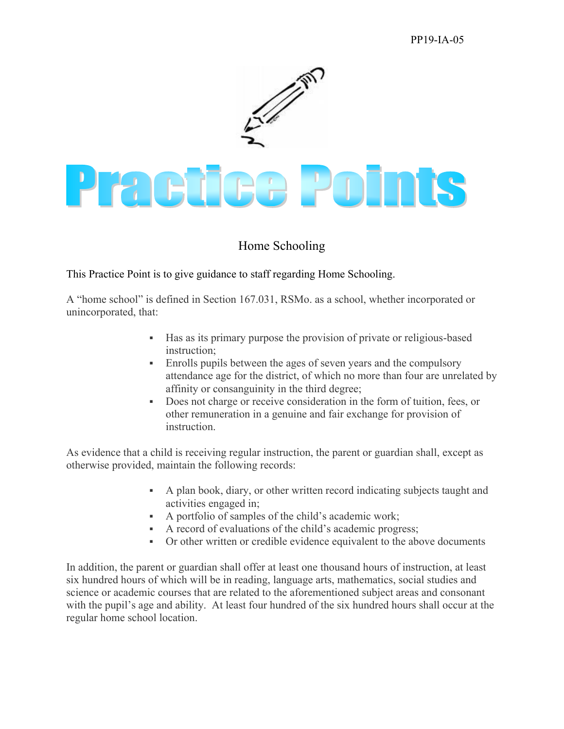## PP19-IA-05



# Home Schooling

This Practice Point is to give guidance to staff regarding Home Schooling.

A "home school" is defined in Section 167.031, RSMo. as a school, whether incorporated or unincorporated, that:

- Has as its primary purpose the provision of private or religious-based instruction;
- Enrolls pupils between the ages of seven years and the compulsory attendance age for the district, of which no more than four are unrelated by affinity or consanguinity in the third degree;
- Does not charge or receive consideration in the form of tuition, fees, or other remuneration in a genuine and fair exchange for provision of **instruction**

As evidence that a child is receiving regular instruction, the parent or guardian shall, except as otherwise provided, maintain the following records:

- A plan book, diary, or other written record indicating subjects taught and activities engaged in;
- A portfolio of samples of the child's academic work;
- A record of evaluations of the child's academic progress;
- Or other written or credible evidence equivalent to the above documents

In addition, the parent or guardian shall offer at least one thousand hours of instruction, at least six hundred hours of which will be in reading, language arts, mathematics, social studies and science or academic courses that are related to the aforementioned subject areas and consonant with the pupil's age and ability. At least four hundred of the six hundred hours shall occur at the regular home school location.